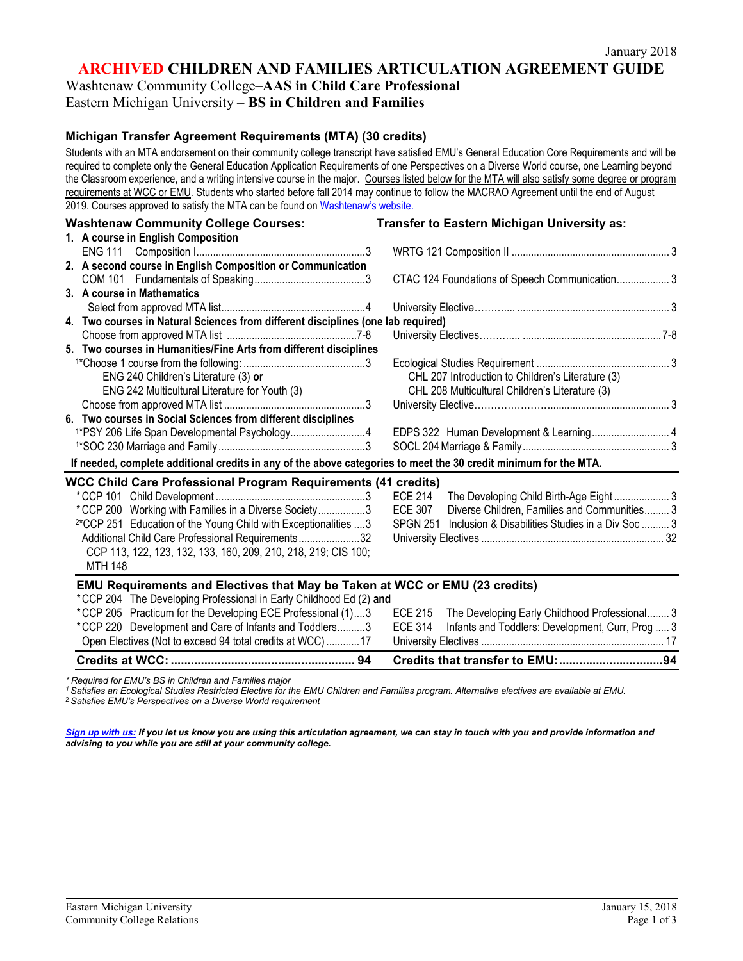**ARCHIVED CHILDREN AND FAMILIES ARTICULATION AGREEMENT GUIDE**

Washtenaw Community College–**AAS in Child Care Professional**

## Eastern Michigan University – **BS in Children and Families**

#### **Michigan Transfer Agreement Requirements (MTA) (30 credits)**

Students with an MTA endorsement on their community college transcript have satisfied EMU's General Education Core Requirements and will be required to complete only the General Education Application Requirements of one Perspectives on a Diverse World course, one Learning beyond the Classroom experience, and a writing intensive course in the major. Courses listed below for the MTA will also satisfy some degree or program requirements at WCC or EMU. Students who started before fall 2014 may continue to follow the MACRAO Agreement until the end of August 2019. Courses approved to satisfy the MTA can be found on [Washtenaw's website.](http://www.wccnet.edu/services/transferresources/mta/)

| <b>Washtenaw Community College Courses:</b>                                                                      | Transfer to Eastern Michigan University as:                                                                        |
|------------------------------------------------------------------------------------------------------------------|--------------------------------------------------------------------------------------------------------------------|
| 1. A course in English Composition                                                                               |                                                                                                                    |
|                                                                                                                  |                                                                                                                    |
| 2. A second course in English Composition or Communication                                                       |                                                                                                                    |
|                                                                                                                  | CTAC 124 Foundations of Speech Communication 3                                                                     |
| 3. A course in Mathematics                                                                                       |                                                                                                                    |
|                                                                                                                  |                                                                                                                    |
| 4. Two courses in Natural Sciences from different disciplines (one lab required)                                 |                                                                                                                    |
|                                                                                                                  |                                                                                                                    |
| 5. Two courses in Humanities/Fine Arts from different disciplines                                                |                                                                                                                    |
|                                                                                                                  |                                                                                                                    |
| ENG 240 Children's Literature (3) or                                                                             | CHL 207 Introduction to Children's Literature (3)                                                                  |
| ENG 242 Multicultural Literature for Youth (3)                                                                   | CHL 208 Multicultural Children's Literature (3)                                                                    |
|                                                                                                                  |                                                                                                                    |
| 6. Two courses in Social Sciences from different disciplines                                                     |                                                                                                                    |
| <sup>1*</sup> PSY 206 Life Span Developmental Psychology4                                                        | EDPS 322 Human Development & Learning 4                                                                            |
|                                                                                                                  |                                                                                                                    |
| If needed, complete additional credits in any of the above categories to meet the 30 credit minimum for the MTA. |                                                                                                                    |
| <b>WCC Child Care Professional Program Requirements (41 credits)</b>                                             |                                                                                                                    |
|                                                                                                                  | The Developing Child Birth-Age Eight 3<br>ECE 214                                                                  |
| * CCP 200 Working with Families in a Diverse Society3                                                            | Diverse Children, Families and Communities 3<br><b>ECE 307</b>                                                     |
| <sup>2*</sup> CCP 251 Education of the Young Child with Exceptionalities 3                                       | <b>SPGN 251</b><br>Inclusion & Disabilities Studies in a Div Soc  3                                                |
| Additional Child Care Professional Requirements32                                                                |                                                                                                                    |
| CCP 113, 122, 123, 132, 133, 160, 209, 210, 218, 219; CIS 100;                                                   |                                                                                                                    |
| <b>MTH 148</b>                                                                                                   |                                                                                                                    |
|                                                                                                                  |                                                                                                                    |
| <b>EMU Requirements and Electives that May be Taken at WCC or EMU (23 credits)</b>                               |                                                                                                                    |
| *CCP 204 The Developing Professional in Early Childhood Ed (2) and                                               | *CCP 205 Practicum for the Developing FCF Professional (1) 3 FCF 215 The Developing Farly Childhood Professional 3 |
|                                                                                                                  |                                                                                                                    |

| Open Electives (Not to exceed 94 total credits at WCC) 17    |                                                          |
|--------------------------------------------------------------|----------------------------------------------------------|
| * CCP 220 Development and Care of Infants and Toddlers3      | ECE 314 Infants and Toddlers: Development, Curr, Prog  3 |
| * CCP 205 Practicum for the Developing ECE Professional (1)3 | ECE 215 The Developing Early Childhood Professional 3    |

*\* Required for EMU's BS in Children and Families major*

*1 Satisfies an Ecological Studies Restricted Elective for the EMU Children and Families program. Alternative electives are available at EMU.*

<sup>2</sup> *Satisfies EMU's Perspectives on a Diverse World requirement*

*[Sign up with us:](http://www.emich.edu/ccr/articulation-agreements/signup.php) If you let us know you are using this articulation agreement, we can stay in touch with you and provide information and advising to you while you are still at your community college.*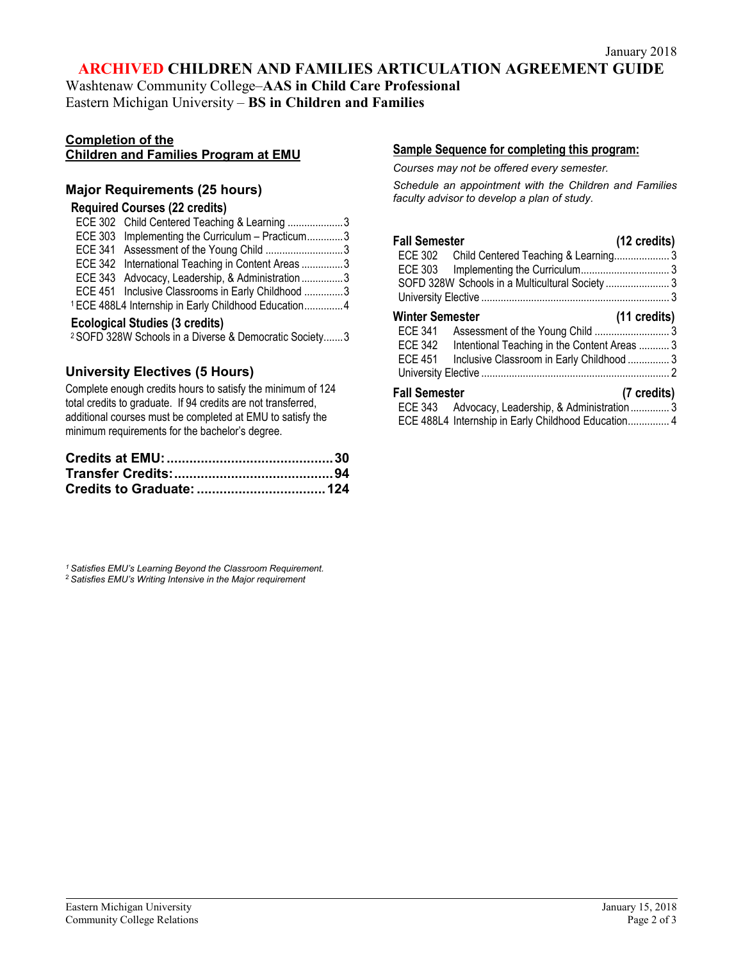## **ARCHIVED CHILDREN AND FAMILIES ARTICULATION AGREEMENT GUIDE**

Washtenaw Community College–**AAS in Child Care Professional** Eastern Michigan University – **BS in Children and Families**

# **Completion of the**

## **Children and Families Program at EMU**

## **Major Requirements (25 hours)**

## **Required Courses (22 credits)**

| ECE 302 Child Centered Teaching & Learning 3                    |  |
|-----------------------------------------------------------------|--|
| ECE 303 Implementing the Curriculum - Practicum3                |  |
| ECE 341 Assessment of the Young Child 3                         |  |
| ECE 342 International Teaching in Content Areas 3               |  |
| ECE 343 Advocacy, Leadership, & Administration3                 |  |
| ECE 451 Inclusive Classrooms in Early Childhood 3               |  |
| <sup>1</sup> ECE 488L4 Internship in Early Childhood Education4 |  |

#### **Ecological Studies (3 credits)**

<sup>2</sup> SOFD 328W Schools in a Diverse & Democratic Society.......3

## **University Electives (5 Hours)**

Complete enough credits hours to satisfy the minimum of 124 total credits to graduate. If 94 credits are not transferred, additional courses must be completed at EMU to satisfy the minimum requirements for the bachelor's degree.

*1 Satisfies EMU's Learning Beyond the Classroom Requirement.* <sup>2</sup> *Satisfies EMU's Writing Intensive in the Major requirement*

## **Sample Sequence for completing this program:**

*Courses may not be offered every semester.* 

*Schedule an appointment with the Children and Families faculty advisor to develop a plan of study.*

| <b>Fall Semester</b>                                    | (12 credits)           |
|---------------------------------------------------------|------------------------|
| ECE 302 Child Centered Teaching & Learning3             |                        |
|                                                         |                        |
| SOFD 328W Schools in a Multicultural Society  3         |                        |
|                                                         |                        |
| <b>Winter Semester</b>                                  | $(11 \text{ credits})$ |
| ECE 341                                                 |                        |
| ECE 342<br>Intentional Teaching in the Content Areas  3 |                        |
| Inclusive Classroom in Early Childhood  3<br>ECE 451    |                        |
|                                                         |                        |
| <b>Fall Semester</b>                                    | (7 credits)            |
| ECE 343 Advocacy, Leadership, & Administration 3        |                        |
| ECE 488L4 Internship in Early Childhood Education 4     |                        |